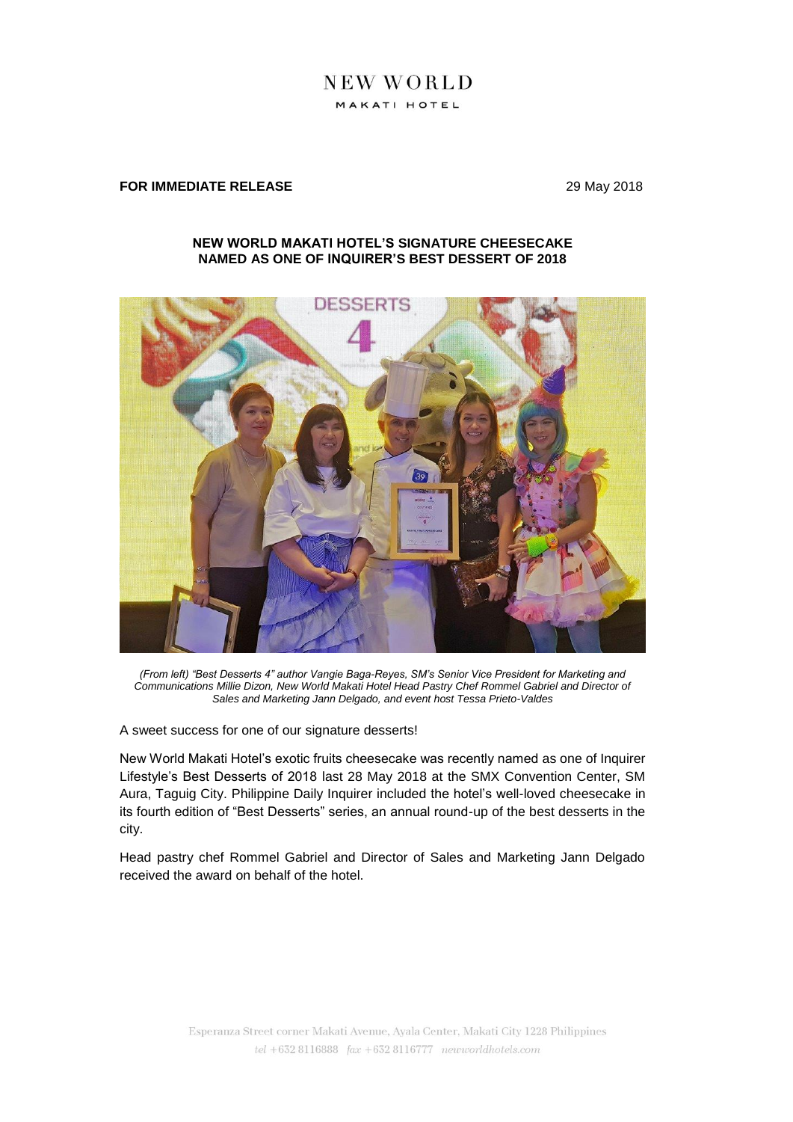# **NEW WORLD** MAKATI HOTEL

## **FOR IMMEDIATE RELEASE** 29 May 2018

### **NEW WORLD MAKATI HOTEL'S SIGNATURE CHEESECAKE NAMED AS ONE OF INQUIRER'S BEST DESSERT OF 2018**



*(From left) "Best Desserts 4" author Vangie Baga-Reyes, SM's Senior Vice President for Marketing and Communications Millie Dizon, New World Makati Hotel Head Pastry Chef Rommel Gabriel and Director of Sales and Marketing Jann Delgado, and event host Tessa Prieto-Valdes*

A sweet success for one of our signature desserts!

New World Makati Hotel's exotic fruits cheesecake was recently named as one of Inquirer Lifestyle's Best Desserts of 2018 last 28 May 2018 at the SMX Convention Center, SM Aura, Taguig City. Philippine Daily Inquirer included the hotel's well-loved cheesecake in its fourth edition of "Best Desserts" series, an annual round-up of the best desserts in the city.

Head pastry chef Rommel Gabriel and Director of Sales and Marketing Jann Delgado received the award on behalf of the hotel.